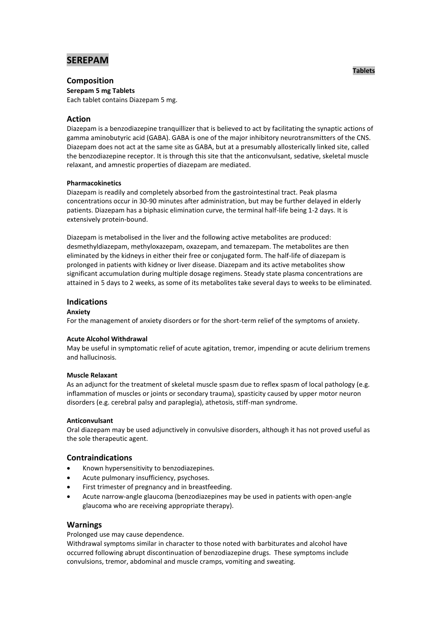# **SEREPAM**

# **Composition**

**Serepam 5 mg Tablets** Each tablet contains Diazepam 5 mg.

# **Action**

Diazepam is a benzodiazepine tranquillizer that is believed to act by facilitating the synaptic actions of gamma aminobutyric acid (GABA). GABA is one of the major inhibitory neurotransmitters of the CNS. Diazepam does not act at the same site as GABA, but at a presumably allosterically linked site, called the benzodiazepine receptor. It is through this site that the anticonvulsant, sedative, skeletal muscle relaxant, and amnestic properties of diazepam are mediated.

# **Pharmacokinetics**

Diazepam is readily and completely absorbed from the gastrointestinal tract. Peak plasma concentrations occur in 30-90 minutes after administration, but may be further delayed in elderly patients. Diazepam has a biphasic elimination curve, the terminal half-life being 1-2 days. It is extensively protein-bound.

Diazepam is metabolised in the liver and the following active metabolites are produced: desmethyldiazepam, methyloxazepam, oxazepam, and temazepam. The metabolites are then eliminated by the kidneys in either their free or conjugated form. The half-life of diazepam is prolonged in patients with kidney or liver disease. Diazepam and its active metabolites show significant accumulation during multiple dosage regimens. Steady state plasma concentrations are attained in 5 days to 2 weeks, as some of its metabolites take several days to weeks to be eliminated.

# **Indications**

# **Anxiety**

For the management of anxiety disorders or for the short-term relief of the symptoms of anxiety.

### **Acute Alcohol Withdrawal**

May be useful in symptomatic relief of acute agitation, tremor, impending or acute delirium tremens and hallucinosis.

### **Muscle Relaxant**

As an adjunct for the treatment of skeletal muscle spasm due to reflex spasm of local pathology (e.g. inflammation of muscles or joints or secondary trauma), spasticity caused by upper motor neuron disorders (e.g. cerebral palsy and paraplegia), athetosis, stiff-man syndrome.

### **Anticonvulsant**

Oral diazepam may be used adjunctively in convulsive disorders, although it has not proved useful as the sole therapeutic agent.

# **Contraindications**

- Known hypersensitivity to benzodiazepines.
- Acute pulmonary insufficiency, psychoses.
- First trimester of pregnancy and in breastfeeding.
- Acute narrow-angle glaucoma (benzodiazepines may be used in patients with open-angle glaucoma who are receiving appropriate therapy).

# **Warnings**

Prolonged use may cause dependence.

Withdrawal symptoms similar in character to those noted with barbiturates and alcohol have occurred following abrupt discontinuation of benzodiazepine drugs. These symptoms include convulsions, tremor, abdominal and muscle cramps, vomiting and sweating.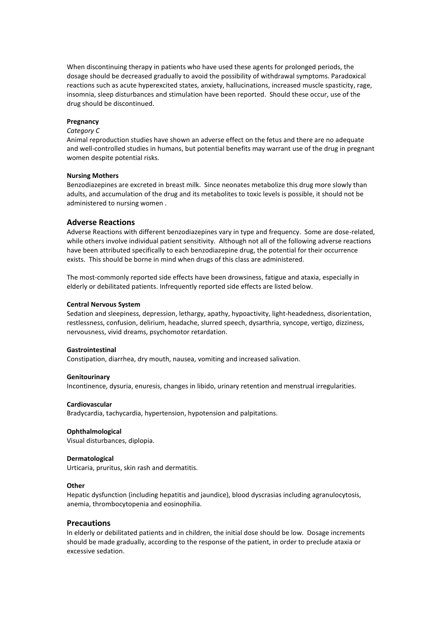When discontinuing therapy in patients who have used these agents for prolonged periods, the dosage should be decreased gradually to avoid the possibility of withdrawal symptoms. Paradoxical reactions such as acute hyperexcited states, anxiety, hallucinations, increased muscle spasticity, rage, insomnia, sleep disturbances and stimulation have been reported. Should these occur, use of the drug should be discontinued.

### **Pregnancy**

### *Category C*

Animal reproduction studies have shown an adverse effect on the fetus and there are no adequate and well-controlled studies in humans, but potential benefits may warrant use of the drug in pregnant women despite potential risks.

### **Nursing Mothers**

Benzodiazepines are excreted in breast milk. Since neonates metabolize this drug more slowly than adults, and accumulation of the drug and its metabolites to toxic levels is possible, it should not be administered to nursing women .

### **Adverse Reactions**

Adverse Reactions with different benzodiazepines vary in type and frequency. Some are dose-related, while others involve individual patient sensitivity. Although not all of the following adverse reactions have been attributed specifically to each benzodiazepine drug, the potential for their occurrence exists. This should be borne in mind when drugs of this class are administered.

The most-commonly reported side effects have been drowsiness, fatigue and ataxia, especially in elderly or debilitated patients. Infrequently reported side effects are listed below.

#### **Central Nervous System**

Sedation and sleepiness, depression, lethargy, apathy, hypoactivity, light-headedness, disorientation, restlessness, confusion, delirium, headache, slurred speech, dysarthria, syncope, vertigo, dizziness, nervousness, vivid dreams, psychomotor retardation.

#### **Gastrointestinal**

Constipation, diarrhea, dry mouth, nausea, vomiting and increased salivation.

#### **Genitourinary**

Incontinence, dysuria, enuresis, changes in libido, urinary retention and menstrual irregularities.

### **Cardiovascular**

Bradycardia, tachycardia, hypertension, hypotension and palpitations.

#### **Ophthalmological**

Visual disturbances, diplopia.

### **Dermatological**

Urticaria, pruritus, skin rash and dermatitis.

#### **Other**

Hepatic dysfunction (including hepatitis and jaundice), blood dyscrasias including agranulocytosis, anemia, thrombocytopenia and eosinophilia.

### **Precautions**

In elderly or debilitated patients and in children, the initial dose should be low. Dosage increments should be made gradually, according to the response of the patient, in order to preclude ataxia or excessive sedation.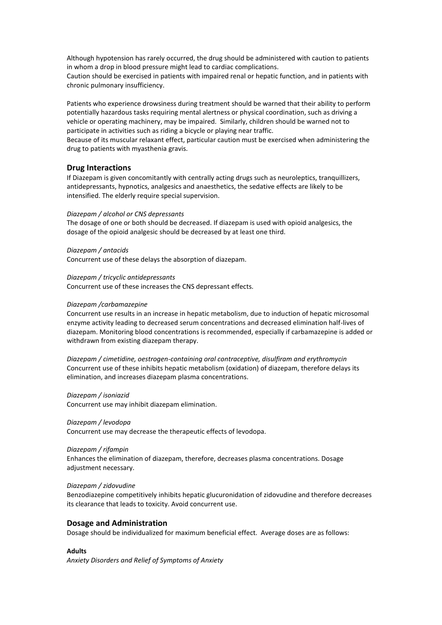Although hypotension has rarely occurred, the drug should be administered with caution to patients in whom a drop in blood pressure might lead to cardiac complications.

Caution should be exercised in patients with impaired renal or hepatic function, and in patients with chronic pulmonary insufficiency.

Patients who experience drowsiness during treatment should be warned that their ability to perform potentially hazardous tasks requiring mental alertness or physical coordination, such as driving a vehicle or operating machinery, may be impaired. Similarly, children should be warned not to participate in activities such as riding a bicycle or playing near traffic.

Because of its muscular relaxant effect, particular caution must be exercised when administering the drug to patients with myasthenia gravis.

### **Drug Interactions**

If Diazepam is given concomitantly with centrally acting drugs such as neuroleptics, tranquillizers, antidepressants, hypnotics, analgesics and anaesthetics, the sedative effects are likely to be intensified. The elderly require special supervision.

#### *Diazepam / alcohol or CNS depressants*

The dosage of one or both should be decreased. If diazepam is used with opioid analgesics, the dosage of the opioid analgesic should be decreased by at least one third.

*Diazepam / antacids*

Concurrent use of these delays the absorption of diazepam.

### *Diazepam / tricyclic antidepressants*

Concurrent use of these increases the CNS depressant effects.

#### *Diazepam /carbamazepine*

Concurrent use results in an increase in hepatic metabolism, due to induction of hepatic microsomal enzyme activity leading to decreased serum concentrations and decreased elimination half-lives of diazepam. Monitoring blood concentrations is recommended, especially if carbamazepine is added or withdrawn from existing diazepam therapy.

*Diazepam / cimetidine, oestrogen-containing oral contraceptive, disulfiram and erythromycin* Concurrent use of these inhibits hepatic metabolism (oxidation) of diazepam, therefore delays its elimination, and increases diazepam plasma concentrations.

#### *Diazepam / isoniazid*

Concurrent use may inhibit diazepam elimination.

#### *Diazepam / levodopa*

Concurrent use may decrease the therapeutic effects of levodopa.

#### *Diazepam / rifampin*

Enhances the elimination of diazepam, therefore, decreases plasma concentrations. Dosage adjustment necessary.

### *Diazepam / zidovudine*

Benzodiazepine competitively inhibits hepatic glucuronidation of zidovudine and therefore decreases its clearance that leads to toxicity. Avoid concurrent use.

### **Dosage and Administration**

Dosage should be individualized for maximum beneficial effect. Average doses are as follows:

#### **Adults**

*Anxiety Disorders and Relief of Symptoms of Anxiety*